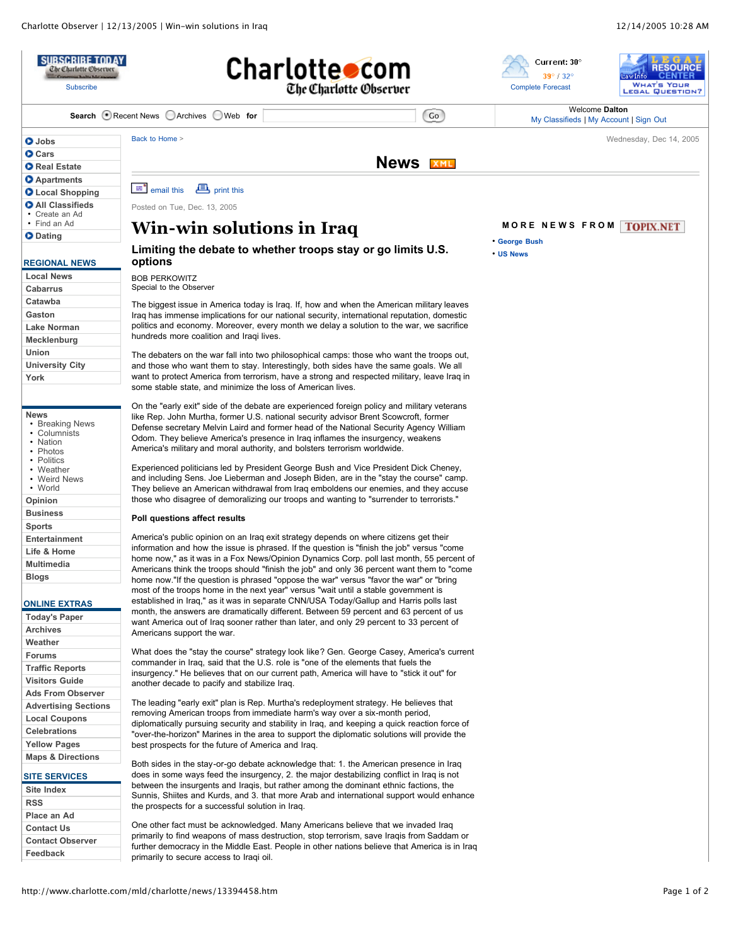